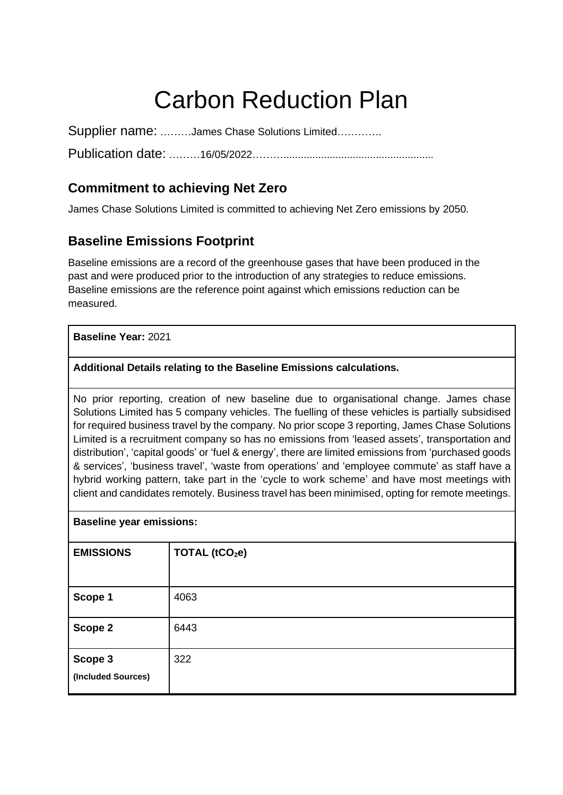# Carbon Reduction Plan

Supplier name: ………James Chase Solutions Limited………….

Publication date: ………16/05/2022………....................................................

## **Commitment to achieving Net Zero**

James Chase Solutions Limited is committed to achieving Net Zero emissions by 2050.

#### **Baseline Emissions Footprint**

Baseline emissions are a record of the greenhouse gases that have been produced in the past and were produced prior to the introduction of any strategies to reduce emissions. Baseline emissions are the reference point against which emissions reduction can be measured.

#### **Baseline Year:** 2021

#### **Additional Details relating to the Baseline Emissions calculations.**

No prior reporting, creation of new baseline due to organisational change. James chase Solutions Limited has 5 company vehicles. The fuelling of these vehicles is partially subsidised for required business travel by the company. No prior scope 3 reporting, James Chase Solutions Limited is a recruitment company so has no emissions from 'leased assets', transportation and distribution', 'capital goods' or 'fuel & energy', there are limited emissions from 'purchased goods & services', 'business travel', 'waste from operations' and 'employee commute' as staff have a hybrid working pattern, take part in the 'cycle to work scheme' and have most meetings with client and candidates remotely. Business travel has been minimised, opting for remote meetings.

| <b>Baseline year emissions:</b> |  |  |
|---------------------------------|--|--|
|                                 |  |  |

| <b>EMISSIONS</b>              | TOTAL (tCO <sub>2</sub> e) |
|-------------------------------|----------------------------|
| Scope 1                       | 4063                       |
| Scope 2                       | 6443                       |
| Scope 3<br>(Included Sources) | 322                        |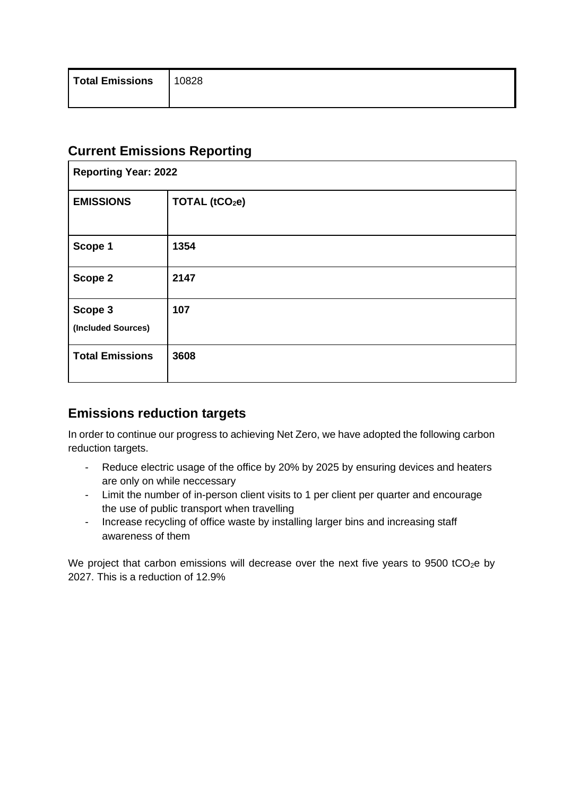## **Current Emissions Reporting**

| <b>Reporting Year: 2022</b>   |                            |  |
|-------------------------------|----------------------------|--|
| <b>EMISSIONS</b>              | TOTAL (tCO <sub>2</sub> e) |  |
| Scope 1                       | 1354                       |  |
| Scope 2                       | 2147                       |  |
| Scope 3<br>(Included Sources) | 107                        |  |
| <b>Total Emissions</b>        | 3608                       |  |

# **Emissions reduction targets**

In order to continue our progress to achieving Net Zero, we have adopted the following carbon reduction targets.

- Reduce electric usage of the office by 20% by 2025 by ensuring devices and heaters are only on while neccessary
- Limit the number of in-person client visits to 1 per client per quarter and encourage the use of public transport when travelling
- Increase recycling of office waste by installing larger bins and increasing staff awareness of them

We project that carbon emissions will decrease over the next five years to 9500 tCO<sub>2</sub>e by 2027. This is a reduction of 12.9%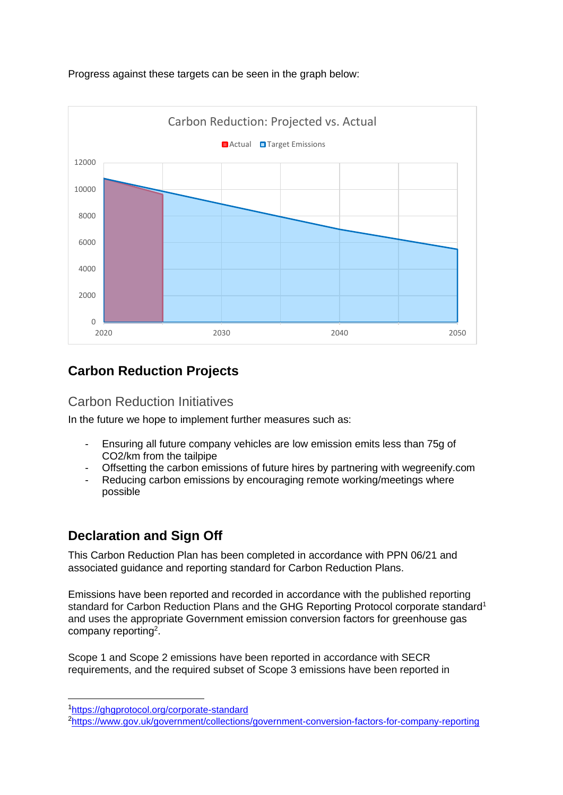

#### Progress against these targets can be seen in the graph below:

# **Carbon Reduction Projects**

#### Carbon Reduction Initiatives

In the future we hope to implement further measures such as:

- Ensuring all future company vehicles are low emission emits less than 75g of CO2/km from the tailpipe
- Offsetting the carbon emissions of future hires by partnering with wegreenify.com
- Reducing carbon emissions by encouraging remote working/meetings where possible

# **Declaration and Sign Off**

This Carbon Reduction Plan has been completed in accordance with PPN 06/21 and associated guidance and reporting standard for Carbon Reduction Plans.

Emissions have been reported and recorded in accordance with the published reporting standard for Carbon Reduction Plans and the GHG Reporting Protocol corporate standard<sup>1</sup> and uses the appropriate [Government emission conversion factors for greenhouse gas](https://www.gov.uk/government/collections/government-conversion-factors-for-company-reporting)  [company reporting](https://www.gov.uk/government/collections/government-conversion-factors-for-company-reporting)<sup>2</sup>.

Scope 1 and Scope 2 emissions have been reported in accordance with SECR requirements, and the required subset of Scope 3 emissions have been reported in

<sup>1</sup><https://ghgprotocol.org/corporate-standard>

<sup>2</sup><https://www.gov.uk/government/collections/government-conversion-factors-for-company-reporting>